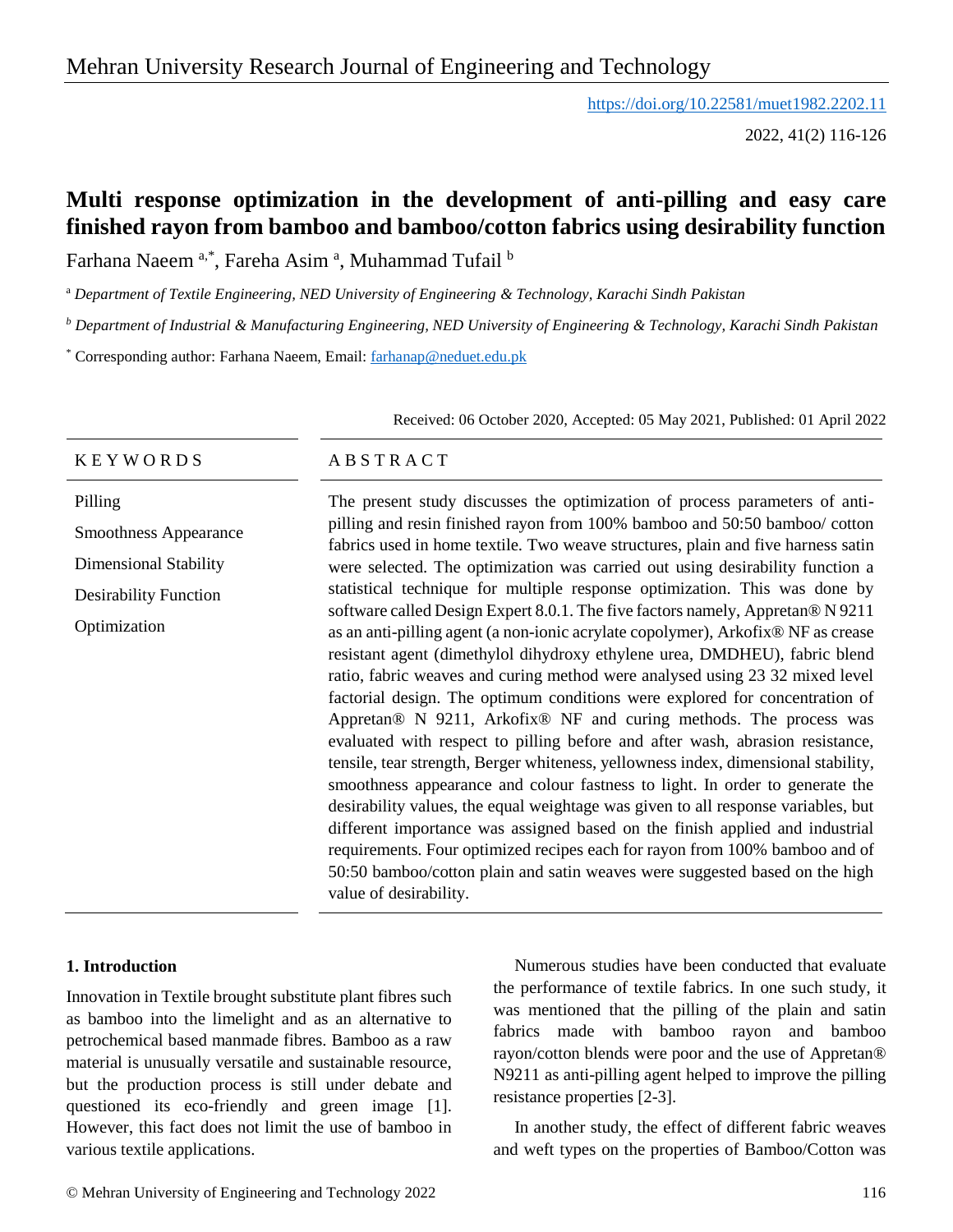# Mehran University Research Journal of Engineering and Technology

<https://doi.org/10.22581/muet1982.2202.11>

2022, 41(2) 116-126

# **Multi response optimization in the development of anti-pilling and easy care finished rayon from bamboo and bamboo/cotton fabrics using desirability function**

Farhana Naeem <sup>a,\*</sup>, Fareha Asim <sup>a</sup>, Muhammad Tufail <sup>b</sup>

<sup>a</sup> *Department of Textile Engineering, NED University of Engineering & Technology, Karachi Sindh Pakistan*

*<sup>b</sup> Department of Industrial & Manufacturing Engineering, NED University of Engineering & Technology, Karachi Sindh Pakistan*

\* Corresponding author: Farhana Naeem, Email: [farhanap@neduet.edu.pk](mailto:farhanap@neduet.edu.pk)

Received: 06 October 2020, Accepted: 05 May 2021, Published: 01 April 2022

### $K E Y W O R D S$   $AB S T R A C T$ Pilling Smoothness Appearance Dimensional Stability Desirability Function Optimization The present study discusses the optimization of process parameters of antipilling and resin finished rayon from 100% bamboo and 50:50 bamboo/ cotton fabrics used in home textile. Two weave structures, plain and five harness satin were selected. The optimization was carried out using desirability function a statistical technique for multiple response optimization. This was done by software called Design Expert 8.0.1. The five factors namely, Appretan® N 9211 as an anti-pilling agent (a non-ionic acrylate copolymer), Arkofix® NF as crease resistant agent (dimethylol dihydroxy ethylene urea, DMDHEU), fabric blend ratio, fabric weaves and curing method were analysed using 23 32 mixed level factorial design. The optimum conditions were explored for concentration of Appretan® N 9211, Arkofix® NF and curing methods. The process was evaluated with respect to pilling before and after wash, abrasion resistance, tensile, tear strength, Berger whiteness, yellowness index, dimensional stability, smoothness appearance and colour fastness to light. In order to generate the desirability values, the equal weightage was given to all response variables, but different importance was assigned based on the finish applied and industrial requirements. Four optimized recipes each for rayon from 100% bamboo and of 50:50 bamboo/cotton plain and satin weaves were suggested based on the high value of desirability.

# **1. Introduction**

Innovation in Textile brought substitute plant fibres such as bamboo into the limelight and as an alternative to petrochemical based manmade fibres. Bamboo as a raw material is unusually versatile and sustainable resource, but the production process is still under debate and questioned its eco-friendly and green image [1]. However, this fact does not limit the use of bamboo in various textile applications.

Numerous studies have been conducted that evaluate the performance of textile fabrics. In one such study, it was mentioned that the pilling of the plain and satin fabrics made with bamboo rayon and bamboo rayon/cotton blends were poor and the use of Appretan® N9211 as anti-pilling agent helped to improve the pilling resistance properties [2-3].

In another study, the effect of different fabric weaves and weft types on the properties of Bamboo/Cotton was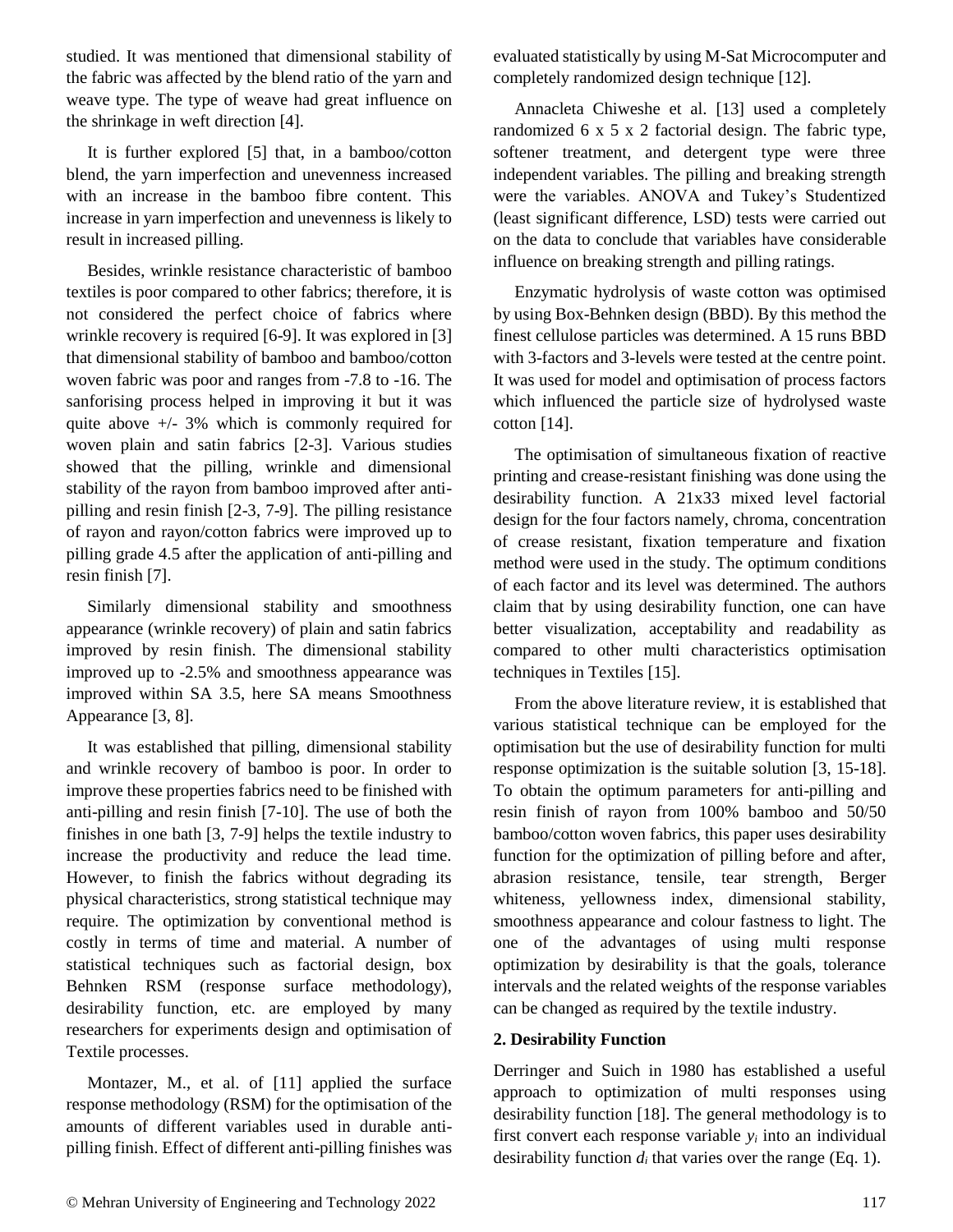studied. It was mentioned that dimensional stability of the fabric was affected by the blend ratio of the yarn and weave type. The type of weave had great influence on the shrinkage in weft direction [4].

It is further explored [5] that, in a bamboo/cotton blend, the yarn imperfection and unevenness increased with an increase in the bamboo fibre content. This increase in yarn imperfection and unevenness is likely to result in increased pilling.

Besides, wrinkle resistance characteristic of bamboo textiles is poor compared to other fabrics; therefore, it is not considered the perfect choice of fabrics where wrinkle recovery is required [6-9]. It was explored in [3] that dimensional stability of bamboo and bamboo/cotton woven fabric was poor and ranges from -7.8 to -16. The sanforising process helped in improving it but it was quite above +/- 3% which is commonly required for woven plain and satin fabrics [2-3]. Various studies showed that the pilling, wrinkle and dimensional stability of the rayon from bamboo improved after antipilling and resin finish [2-3, 7-9]. The pilling resistance of rayon and rayon/cotton fabrics were improved up to pilling grade 4.5 after the application of anti-pilling and resin finish [7].

Similarly dimensional stability and smoothness appearance (wrinkle recovery) of plain and satin fabrics improved by resin finish. The dimensional stability improved up to -2.5% and smoothness appearance was improved within SA 3.5, here SA means Smoothness Appearance [3, 8].

It was established that pilling, dimensional stability and wrinkle recovery of bamboo is poor. In order to improve these properties fabrics need to be finished with anti-pilling and resin finish [7-10]. The use of both the finishes in one bath [3, 7-9] helps the textile industry to increase the productivity and reduce the lead time. However, to finish the fabrics without degrading its physical characteristics, strong statistical technique may require. The optimization by conventional method is costly in terms of time and material. A number of statistical techniques such as factorial design, box Behnken RSM (response surface methodology), desirability function, etc. are employed by many researchers for experiments design and optimisation of Textile processes.

Montazer, M., et al. of [11] applied the surface response methodology (RSM) for the optimisation of the amounts of different variables used in durable antipilling finish. Effect of different anti-pilling finishes was evaluated statistically by using M-Sat Microcomputer and completely randomized design technique [12].

Annacleta Chiweshe et al. [13] used a completely randomized 6 x 5 x 2 factorial design. The fabric type, softener treatment, and detergent type were three independent variables. The pilling and breaking strength were the variables. ANOVA and Tukey's Studentized (least significant difference, LSD) tests were carried out on the data to conclude that variables have considerable influence on breaking strength and pilling ratings.

Enzymatic hydrolysis of waste cotton was optimised by using Box-Behnken design (BBD). By this method the finest cellulose particles was determined. A 15 runs BBD with 3-factors and 3-levels were tested at the centre point. It was used for model and optimisation of process factors which influenced the particle size of hydrolysed waste cotton  $[14]$ .

The optimisation of simultaneous fixation of reactive printing and crease-resistant finishing was done using the desirability function. A 21x33 mixed level factorial design for the four factors namely, chroma, concentration of crease resistant, fixation temperature and fixation method were used in the study. The optimum conditions of each factor and its level was determined. The authors claim that by using desirability function, one can have better visualization, acceptability and readability as compared to other multi characteristics optimisation techniques in Textiles [15].

From the above literature review, it is established that various statistical technique can be employed for the optimisation but the use of desirability function for multi response optimization is the suitable solution [3, 15-18]. To obtain the optimum parameters for anti-pilling and resin finish of rayon from 100% bamboo and 50/50 bamboo/cotton woven fabrics, this paper uses desirability function for the optimization of pilling before and after, abrasion resistance, tensile, tear strength, Berger whiteness, yellowness index, dimensional stability, smoothness appearance and colour fastness to light. The one of the advantages of using multi response optimization by desirability is that the goals, tolerance intervals and the related weights of the response variables can be changed as required by the textile industry.

# **2. Desirability Function**

Derringer and Suich in 1980 has established a useful approach to optimization of multi responses using desirability function [18]. The general methodology is to first convert each response variable  $y_i$  into an individual desirability function  $d_i$  that varies over the range (Eq. 1).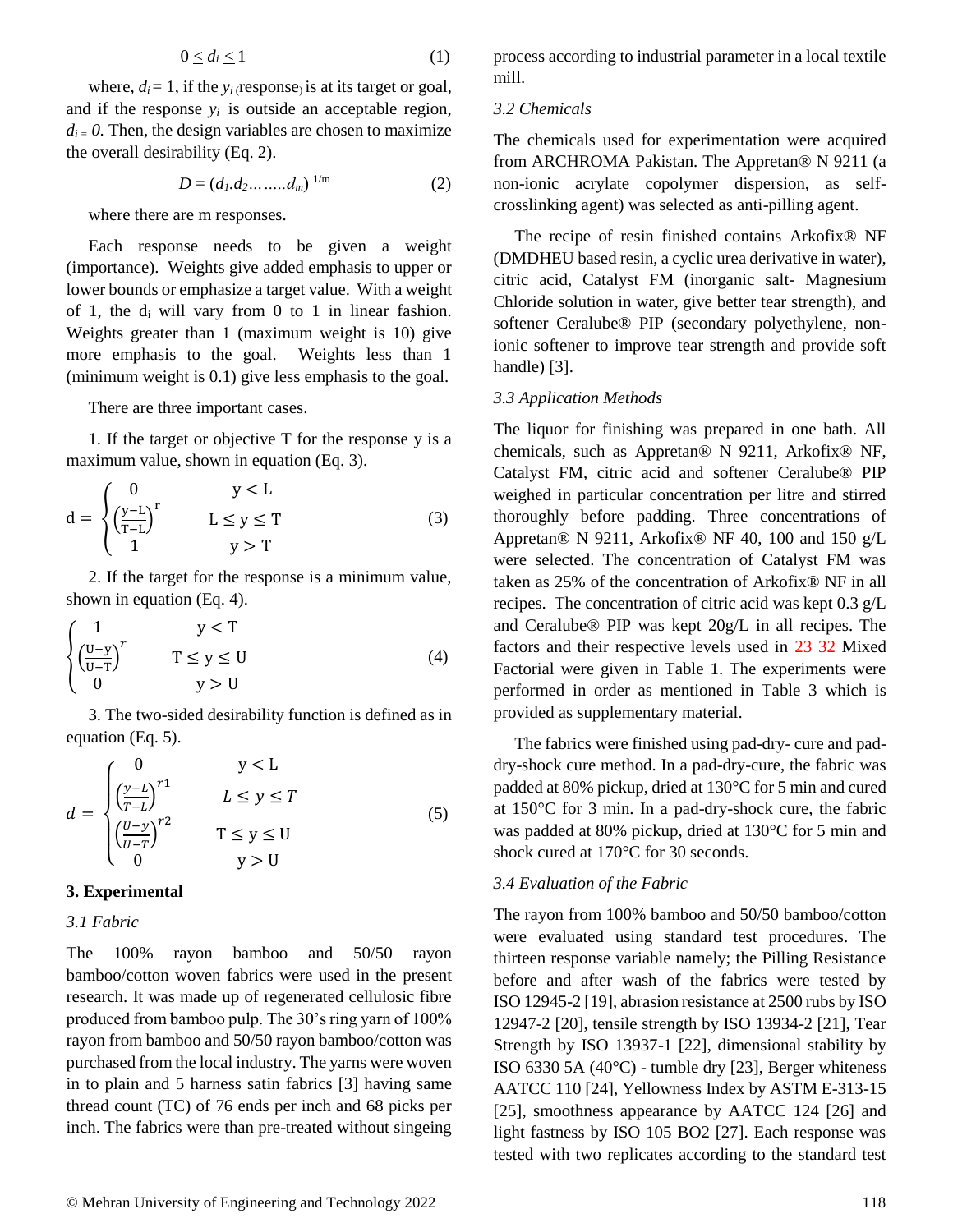$$
0 \le d_i \le 1 \tag{1}
$$

where,  $d_i = 1$ , if the  $y_i$  (response) is at its target or goal, and if the response  $y_i$  is outside an acceptable region,  $d_i = 0$ . Then, the design variables are chosen to maximize the overall desirability (Eq. 2).

$$
D = (d_1.d_2.......,d_m)^{1/m} \tag{2}
$$

where there are m responses.

Each response needs to be given a weight (importance). Weights give added emphasis to upper or lower bounds or emphasize a target value. With a weight of 1, the  $d_i$  will vary from 0 to 1 in linear fashion. Weights greater than 1 (maximum weight is 10) give more emphasis to the goal. Weights less than 1 (minimum weight is 0.1) give less emphasis to the goal.

There are three important cases.

1. If the target or objective T for the response y is a maximum value, shown in equation (Eq. 3).

$$
d = \begin{cases} 0 & y < L \\ \left(\frac{y-L}{T-L}\right)^r & L \le y \le T \\ 1 & y > T \end{cases}
$$
 (3)

2. If the target for the response is a minimum value, shown in equation (Eq. 4).

$$
\begin{cases}\n1 & y < T \\
\left(\frac{U-y}{U-T}\right)^r & T \le y \le U \\
0 & y > U\n\end{cases}
$$
\n(4)

3. The two-sided desirability function is defined as in equation (Eq. 5).

$$
d = \begin{cases} 0 & y < L \\ \left(\frac{y-L}{T-L}\right)^{r_1} & L \le y \le T \\ \left(\frac{U-y}{U-T}\right)^{r_2} & T \le y \le U \\ 0 & y > U \end{cases} \tag{5}
$$

#### **3. Experimental**

*3.1 Fabric*

The 100% rayon bamboo and 50/50 rayon bamboo/cotton woven fabrics were used in the present research. It was made up of regenerated cellulosic fibre produced from bamboo pulp. The 30's ring yarn of 100% rayon from bamboo and 50/50 rayon bamboo/cotton was purchased from the local industry. The yarns were woven in to plain and 5 harness satin fabrics [3] having same thread count (TC) of 76 ends per inch and 68 picks per inch. The fabrics were than pre-treated without singeing process according to industrial parameter in a local textile mill.

#### *3.2 Chemicals*

The chemicals used for experimentation were acquired from ARCHROMA Pakistan. The Appretan® N 9211 (a non-ionic acrylate copolymer dispersion, as selfcrosslinking agent) was selected as anti-pilling agent.

The recipe of resin finished contains Arkofix® NF (DMDHEU based resin, a cyclic urea derivative in water), citric acid, Catalyst FM (inorganic salt- Magnesium Chloride solution in water, give better tear strength), and softener Ceralube® PIP (secondary polyethylene, nonionic softener to improve tear strength and provide soft handle) [3].

#### *3.3 Application Methods*

The liquor for finishing was prepared in one bath. All chemicals, such as Appretan® N 9211, Arkofix® NF, Catalyst FM, citric acid and softener Ceralube® PIP weighed in particular concentration per litre and stirred thoroughly before padding. Three concentrations of Appretan® N 9211, Arkofix® NF 40, 100 and 150 g/L were selected. The concentration of Catalyst FM was taken as 25% of the concentration of Arkofix® NF in all recipes. The concentration of citric acid was kept 0.3 g/L and Ceralube® PIP was kept 20g/L in all recipes. The factors and their respective levels used in 23 32 Mixed Factorial were given in Table 1. The experiments were performed in order as mentioned in Table 3 which is provided as supplementary material.

The fabrics were finished using pad-dry- cure and paddry-shock cure method. In a pad-dry-cure, the fabric was padded at 80% pickup, dried at 130°C for 5 min and cured at 150°C for 3 min. In a pad-dry-shock cure, the fabric was padded at 80% pickup, dried at 130°C for 5 min and shock cured at 170°C for 30 seconds.

#### *3.4 Evaluation of the Fabric*

The rayon from 100% bamboo and 50/50 bamboo/cotton were evaluated using standard test procedures. The thirteen response variable namely; the Pilling Resistance before and after wash of the fabrics were tested by ISO 12945-2 [19], abrasion resistance at 2500 rubs by ISO 12947-2 [20], tensile strength by ISO 13934-2 [21], Tear Strength by ISO 13937-1 [22], dimensional stability by ISO 6330 5A (40°C) - tumble dry [23], Berger whiteness AATCC 110 [24], Yellowness Index by ASTM E-313-15 [25], smoothness appearance by AATCC 124 [26] and light fastness by ISO 105 BO2 [27]. Each response was tested with two replicates according to the standard test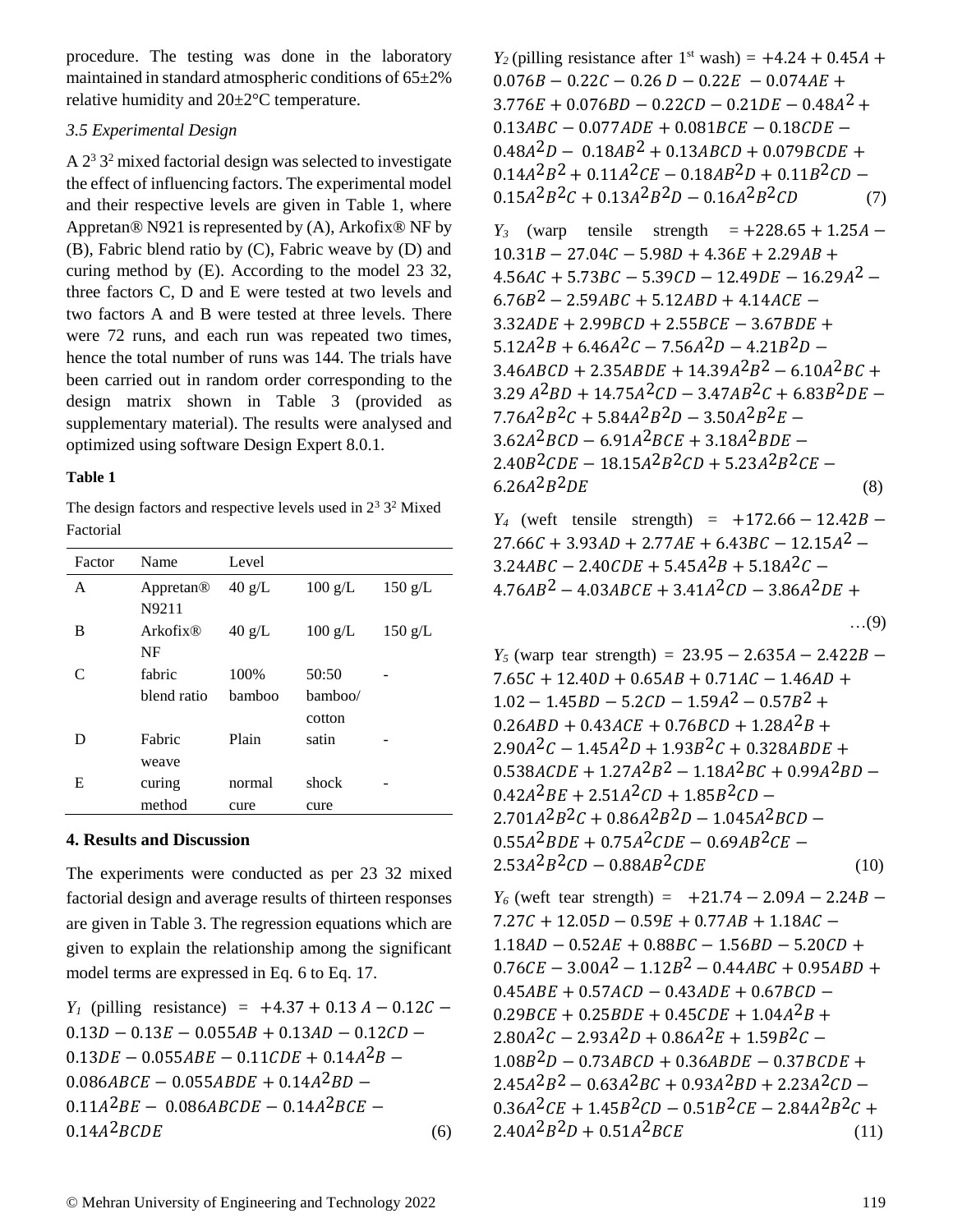procedure. The testing was done in the laboratory maintained in standard atmospheric conditions of 65±2% relative humidity and 20±2°C temperature.

## *3.5 Experimental Design*

A  $2<sup>3</sup>$  3<sup>2</sup> mixed factorial design was selected to investigate the effect of influencing factors. The experimental model and their respective levels are given in Table 1, where Appretan® N921 is represented by (A), Arkofix® NF by (B), Fabric blend ratio by (C), Fabric weave by (D) and curing method by (E). According to the model 23 32, three factors C, D and E were tested at two levels and two factors A and B were tested at three levels. There were 72 runs, and each run was repeated two times, hence the total number of runs was 144. The trials have been carried out in random order corresponding to the design matrix shown in Table 3 (provided as supplementary material). The results were analysed and optimized using software Design Expert 8.0.1.

## **Table 1**

The design factors and respective levels used in  $2<sup>3</sup>$  3<sup>2</sup> Mixed Factorial

| Factor                      | Name                  | Level            |                   |                   |  |  |
|-----------------------------|-----------------------|------------------|-------------------|-------------------|--|--|
| A                           | Appretan <sup>®</sup> | $40 \text{ g/L}$ | $100 \text{ g/L}$ | $150 \text{ g/L}$ |  |  |
|                             | N9211                 |                  |                   |                   |  |  |
| B                           | Arkofix@              | $40 \text{ g/L}$ | $100 \text{ g/L}$ | $150$ g/L         |  |  |
|                             | NF                    |                  |                   |                   |  |  |
| $\mathcal{C}_{\mathcal{C}}$ | fabric                | 100%             | 50:50             |                   |  |  |
|                             | blend ratio           | bamboo           | bamboo/           |                   |  |  |
|                             |                       |                  | cotton            |                   |  |  |
| D                           | Fabric                | Plain            | satin             |                   |  |  |
|                             | weave                 |                  |                   |                   |  |  |
| Е                           | curing                | normal           | shock             |                   |  |  |
|                             | method                | cure             | cure              |                   |  |  |

# **4. Results and Discussion**

The experiments were conducted as per 23 32 mixed factorial design and average results of thirteen responses are given in Table 3. The regression equations which are given to explain the relationship among the significant model terms are expressed in Eq. 6 to Eq. 17.

*Y*<sub>*l*</sub> (pilling resistance) =  $+4.37 + 0.13 A - 0.12C 0.13D - 0.13E - 0.055AB + 0.13AD - 0.12CD 0.13$ DE – 0.055ABE – 0.11CDE + 0.14A<sup>2</sup>B –  $0.086 ABCE - 0.055 A BDE + 0.14 A^2 BD 0.11A^2BE - 0.086ABCDE - 0.14A^2BCE 0.14A^{2}BCDE$  (6)

 $Y_2$  (pilling resistance after 1<sup>st</sup> wash) =  $+4.24 + 0.45A +$  $0.076B - 0.22C - 0.26D - 0.22E - 0.074AE +$  $3.776E + 0.076BD - 0.22CD - 0.21DE - 0.48A^2 +$  $0.13 ABC - 0.077 ADE + 0.081 BCE - 0.18 CDE 0.48A^{2}D - 0.18AB^{2} + 0.13ABCD + 0.079BCDE +$  $0.14A^{2}B^{2} + 0.11A^{2}CE - 0.18AB^{2}D + 0.11B^{2}CD 0.15A^{2}B^{2}C + 0.13A^{2}B^{2}D - 0.16A^{2}B^{2}CD$  (7)

*Y*<sup>3</sup> (warp tensile strength =  $+228.65 + 1.25A$  –  $10.31B - 27.04C - 5.98D + 4.36E + 2.29AB +$  $4.56AC + 5.73BC - 5.39CD - 12.49DE - 16.29A^2 6.76B^2 - 2.59ABC + 5.12ABD + 4.14ACE$  $3.32ADE + 2.99BCD + 2.55BCE - 3.67BDE +$  $5.12A^{2}B + 6.46A^{2}C - 7.56A^{2}D - 4.21B^{2}D 3.46 ABCD + 2.35 A BDE + 14.39 A^2 B^2 - 6.10 A^2 BC +$  $3.29 A^2BD + 14.75A^2CD - 3.47AB^2C + 6.83B^2DE 7.76A^{2}B^{2}C + 5.84A^{2}B^{2}D - 3.50A^{2}B^{2}E 3.62A^{2}BCD - 6.91A^{2}BCE + 3.18A^{2}BDE 2.40B^2CDE - 18.15A^2B^2CD + 5.23A^2B^2CE 6.26A^2B^2DE$  (8)

*Y*<sup>4</sup> (weft tensile strength) =  $+172.66 - 12.42B 27.66C + 3.93AD + 2.77AE + 6.43BC - 12.15A^2$  –  $3.24 ABC - 2.40 CDE + 5.45 A^2B + 5.18 A^2C 4.76AB^{2} - 4.03ABCE + 3.41A^{2}CD - 3.86A^{2}DE +$ 

$$
\ldots (9)
$$

*Y*<sup>5</sup> (warp tear strength) = 23.95 – 2.635 $A$  – 2.422 $B$  –  $7.65C + 12.40D + 0.65AB + 0.71AC - 1.46AD +$  $1.02 - 1.45 BD - 5.2 CD - 1.59A^2 - 0.57B^2 +$  $0.26 ABD + 0.43 ACE + 0.76 BCD + 1.28 A^2B +$  $2.90A^{2}C - 1.45A^{2}D + 1.93B^{2}C + 0.328ABDE +$  $0.538ACDE + 1.27A^2B^2 - 1.18A^2BC + 0.99A^2BD 0.42A^2BE + 2.51A^2CD + 1.85B^2CD 2.701A^{2}B^{2}C + 0.86A^{2}B^{2}D - 1.045A^{2}BCD 0.55A^2BDE + 0.75A^2CDE - 0.69AB^2CE 2.53A^{2}B^{2}CD - 0.88AB^{2}CDE$  (10)

*Y*<sup>6</sup> (weft tear strength) =  $+21.74 - 2.09A - 2.24B 7.27C + 12.05D - 0.59E + 0.77AB + 1.18AC 1.18 AD - 0.52 AE + 0.88 BC - 1.56 BD - 5.20CD +$  $0.76 CE - 3.00A<sup>2</sup> - 1.12B<sup>2</sup> - 0.44ABC + 0.95ABD +$  $0.45ABE + 0.57ACD - 0.43ADE + 0.67BCD 0.29BCE + 0.25BDE + 0.45CDE + 1.04A^{2}B +$  $2.80A^{2}C - 2.93A^{2}D + 0.86A^{2}E + 1.59B^{2}C 1.08B<sup>2</sup>D - 0.73ABCD + 0.36ABDE - 0.37BCDE +$  $2.45A^{2}B^{2} - 0.63A^{2}BC + 0.93A^{2}BD + 2.23A^{2}CD 0.36A^{2}CE + 1.45B^{2}CD - 0.51B^{2}CE - 2.84A^{2}B^{2}C +$  $2.40A^2B^2D + 0.51A^2BCE$  (11)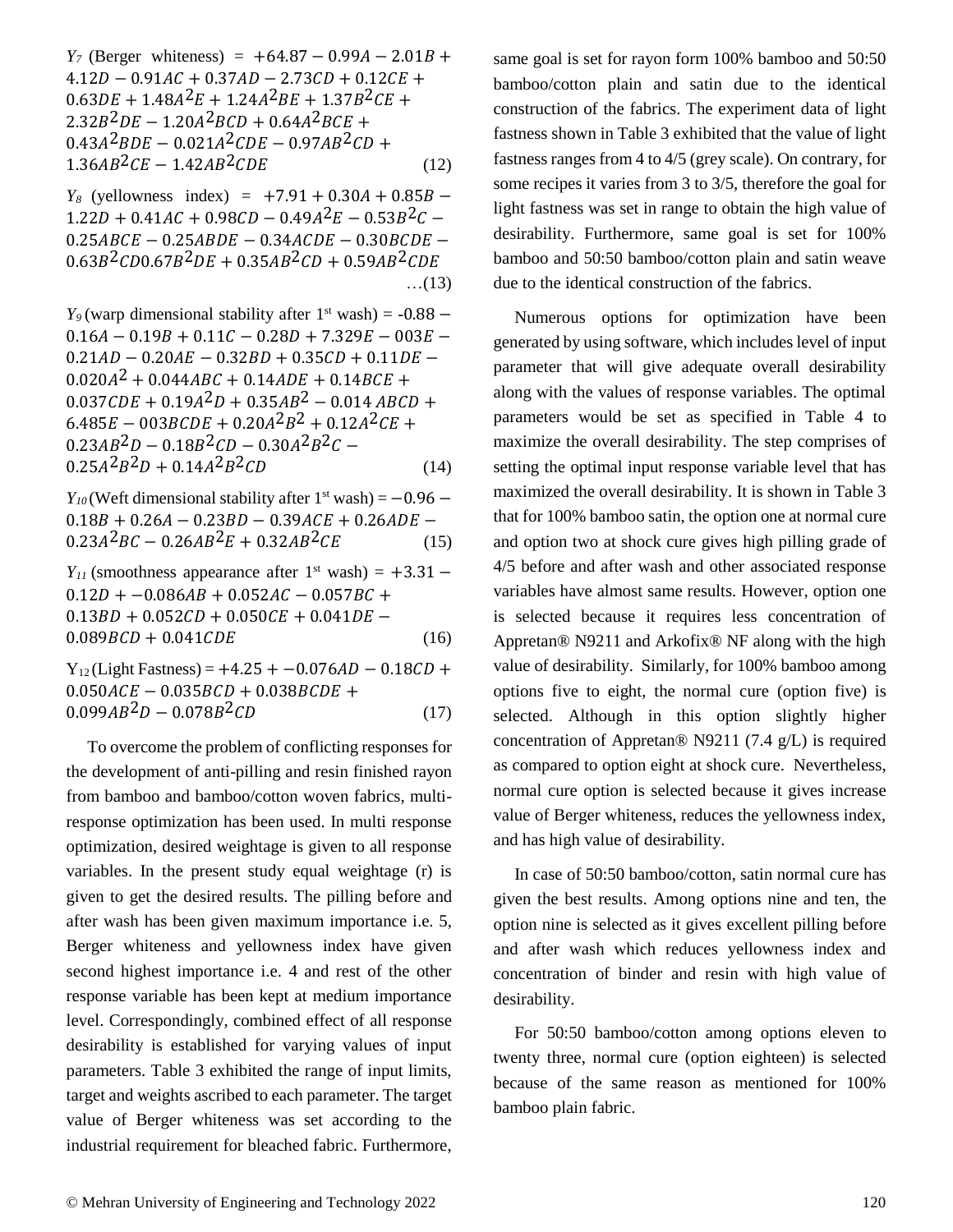*Y*<sup>*7*</sup> (Berger whiteness) =  $+64.87 - 0.99A - 2.01B +$  $4.12D - 0.91AC + 0.37AD - 2.73CD + 0.12CE +$  $0.63DE + 1.48A^2E + 1.24A^2BE + 1.37B^2CE +$  $2.32B^2DE - 1.20A^2BCD + 0.64A^2BCE +$  $0.43A^{2}BDE - 0.021A^{2}CDE - 0.97AB^{2}CD +$  $1.36AB^2CE - 1.42AB^2CDE$  (12)

 $Y_8$  (yellowness index) =  $+7.91 + 0.30A + 0.85B 1.22D + 0.41AC + 0.98CD - 0.49A^{2}E - 0.53B^{2}C 0.25 ABCE - 0.25 A BDE - 0.34 A CDE - 0.30 B CDE 0.63B^2CD0.67B^2DE + 0.35AB^2CD + 0.59AB^2CDE$ …(13)

 $Y_9$  (warp dimensional stability after 1<sup>st</sup> wash) = -0.88 −  $0.16A - 0.19B + 0.11C - 0.28D + 7.329E - 003E 0.21AD - 0.20AE - 0.32BD + 0.35CD + 0.11DE 0.020A<sup>2</sup> + 0.044ABC + 0.14ADE + 0.14BCE +$  $0.037 CDE + 0.19A^2D + 0.35AB^2 - 0.014 ABCD +$  $6.485E - 003BCDE + 0.20A^2B^2 + 0.12A^2CE +$  $0.23AB<sup>2</sup>D - 0.18B<sup>2</sup>CD - 0.30A<sup>2</sup>B<sup>2</sup>C 0.25A^2B^2D + 0.14A^2B^2CD$  (14)

 $Y_{10}$  (Weft dimensional stability after 1<sup>st</sup> wash) =  $-0.96$  –  $0.18B + 0.26A - 0.23BD - 0.39ACE + 0.26ADE 0.23A^{2}BC - 0.26AB^{2}E + 0.32AB^{2}CE$  (15)

*Y*<sup>11</sup> (smoothness appearance after 1<sup>st</sup> wash) = +3.31 −  $0.12D + -0.086AB + 0.052AC - 0.057BC +$  $0.13 BD + 0.052 CD + 0.050 CE + 0.041DE$  –  $0.089 BCD + 0.041 CDE$  (16)

 $Y_{12}$ (Light Fastness) = +4.25 + -0.076AD - 0.18CD +  $0.050 ACE - 0.035 BCD + 0.038 BCDE +$  $0.099AB^2D - 0.078B^2CD$  (17)

To overcome the problem of conflicting responses for the development of anti-pilling and resin finished rayon from bamboo and bamboo/cotton woven fabrics, multiresponse optimization has been used. In multi response optimization, desired weightage is given to all response variables. In the present study equal weightage (r) is given to get the desired results. The pilling before and after wash has been given maximum importance i.e. 5, Berger whiteness and yellowness index have given second highest importance i.e. 4 and rest of the other response variable has been kept at medium importance level. Correspondingly, combined effect of all response desirability is established for varying values of input parameters. Table 3 exhibited the range of input limits, target and weights ascribed to each parameter. The target value of Berger whiteness was set according to the industrial requirement for bleached fabric. Furthermore,

same goal is set for rayon form 100% bamboo and 50:50 bamboo/cotton plain and satin due to the identical construction of the fabrics. The experiment data of light fastness shown in Table 3 exhibited that the value of light fastness ranges from 4 to 4/5 (grey scale). On contrary, for some recipes it varies from 3 to 3/5, therefore the goal for light fastness was set in range to obtain the high value of desirability. Furthermore, same goal is set for 100% bamboo and 50:50 bamboo/cotton plain and satin weave due to the identical construction of the fabrics.

Numerous options for optimization have been generated by using software, which includes level of input parameter that will give adequate overall desirability along with the values of response variables. The optimal parameters would be set as specified in Table 4 to maximize the overall desirability. The step comprises of setting the optimal input response variable level that has maximized the overall desirability. It is shown in Table 3 that for 100% bamboo satin, the option one at normal cure and option two at shock cure gives high pilling grade of 4/5 before and after wash and other associated response variables have almost same results. However, option one is selected because it requires less concentration of Appretan® N9211 and Arkofix® NF along with the high value of desirability. Similarly, for 100% bamboo among options five to eight, the normal cure (option five) is selected. Although in this option slightly higher concentration of Appretan® N9211 (7.4 g/L) is required as compared to option eight at shock cure. Nevertheless, normal cure option is selected because it gives increase value of Berger whiteness, reduces the yellowness index, and has high value of desirability.

In case of 50:50 bamboo/cotton, satin normal cure has given the best results. Among options nine and ten, the option nine is selected as it gives excellent pilling before and after wash which reduces yellowness index and concentration of binder and resin with high value of desirability.

For 50:50 bamboo/cotton among options eleven to twenty three, normal cure (option eighteen) is selected because of the same reason as mentioned for 100% bamboo plain fabric.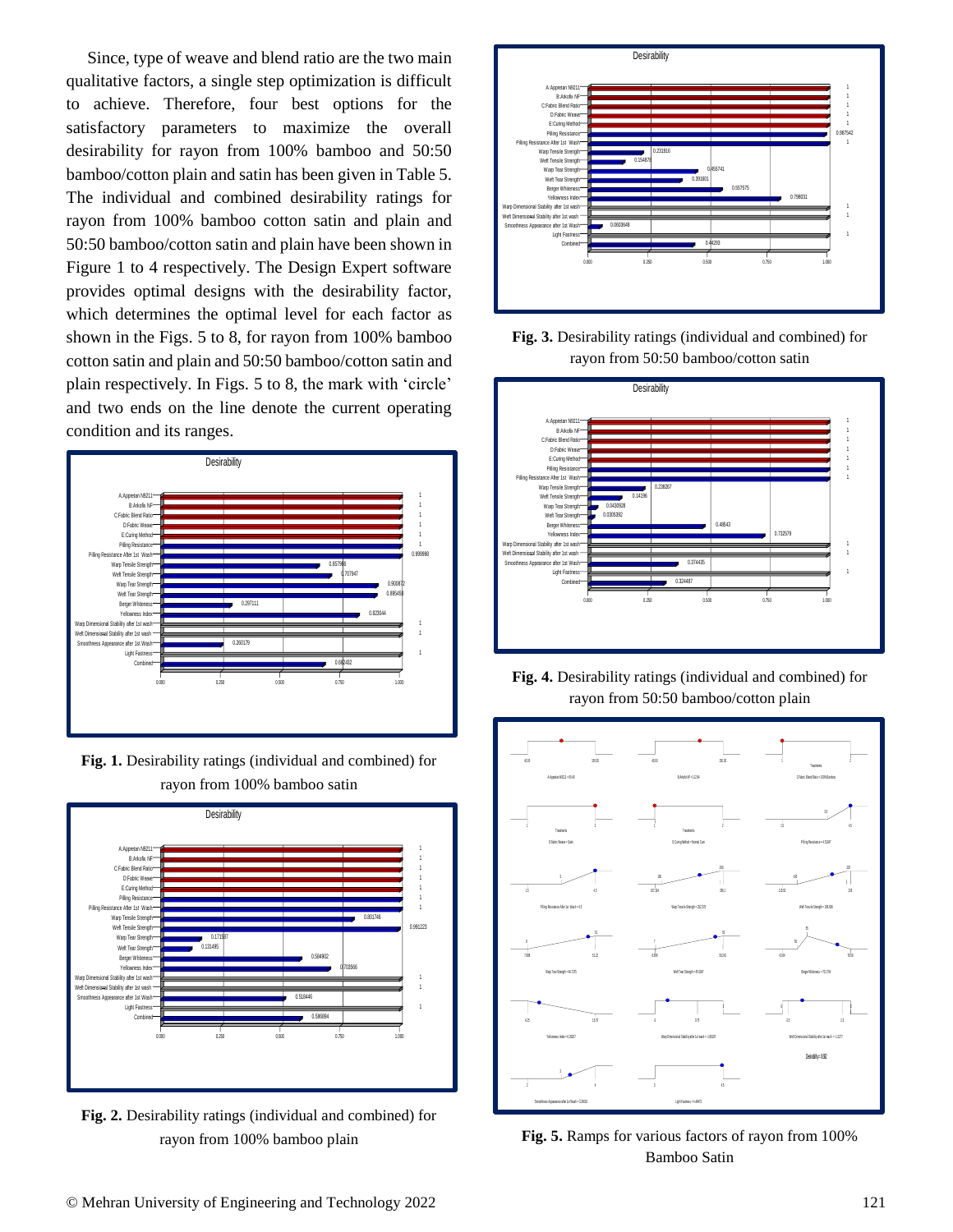Since, type of weave and blend ratio are the two main qualitative factors, a single step optimization is difficult to achieve. Therefore, four best options for the satisfactory parameters to maximize the overall desirability for rayon from 100% bamboo and 50:50 bamboo/cotton plain and satin has been given in Table 5. The individual and combined desirability ratings for rayon from 100% bamboo cotton satin and plain and 50:50 bamboo/cotton satin and plain have been shown in Figure 1 to 4 respectively. The Design Expert software provides optimal designs with the desirability factor, which determines the optimal level for each factor as shown in the Figs. 5 to 8, for rayon from 100% bamboo cotton satin and plain and 50:50 bamboo/cotton satin and plain respectively. In Figs. 5 to 8, the mark with 'circle' and two ends on the line denote the current operating condition and its ranges.



**Fig. 1.** Desirability ratings (individual and combined) for rayon from 100% bamboo satin



**Fig. 2.** Desirability ratings (individual and combined) for rayon from 100% bamboo plain



**Fig. 3.** Desirability ratings (individual and combined) for rayon from 50:50 bamboo/cotton satin



**Fig. 4.** Desirability ratings (individual and combined) for rayon from 50:50 bamboo/cotton plain



**Fig. 5.** Ramps for various factors of rayon from 100% Bamboo Satin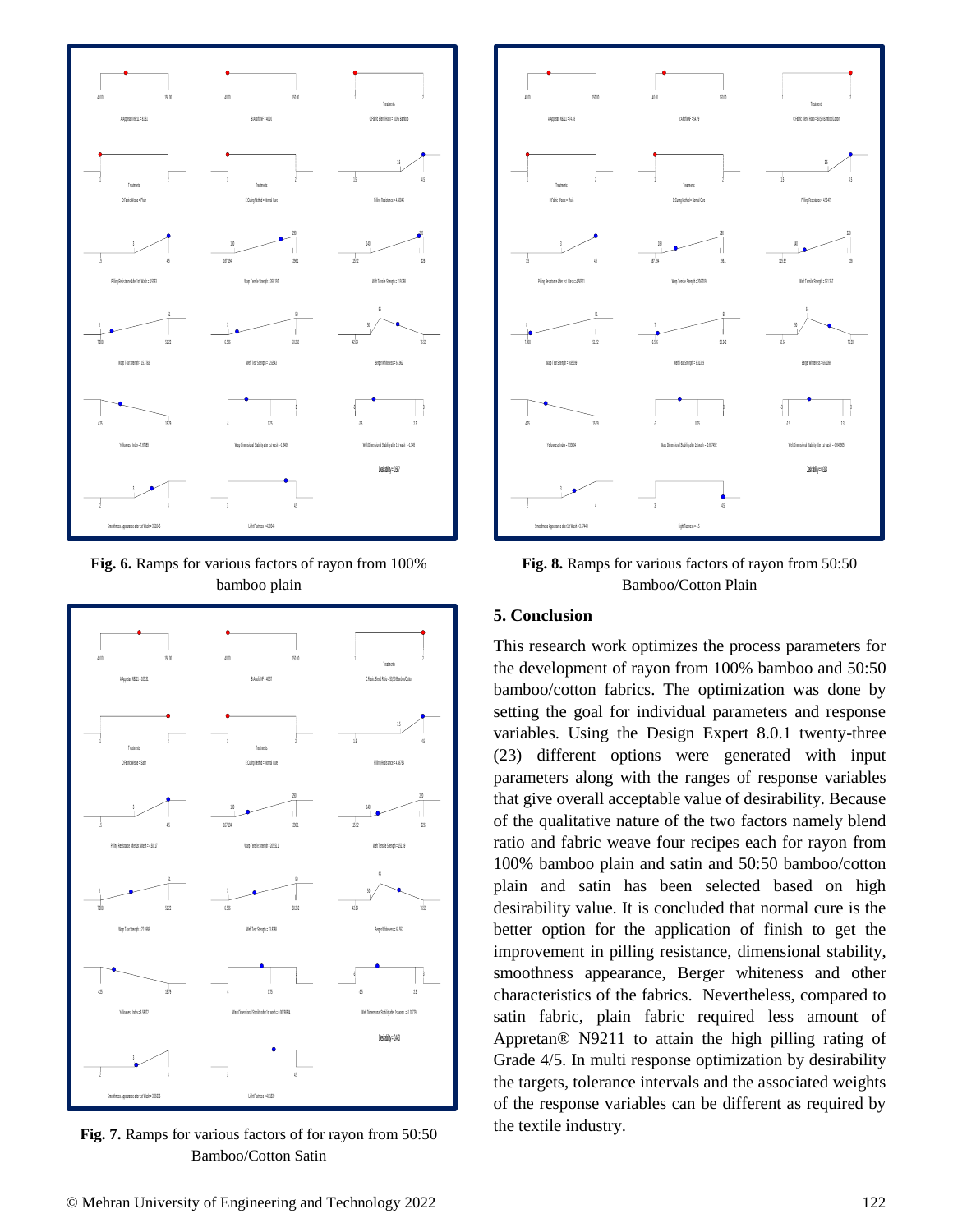

**Fig. 6.** Ramps for various factors of rayon from 100% bamboo plain



**Fig. 7.** Ramps for various factors of for rayon from 50:50 Bamboo/Cotton Satin



**Fig. 8.** Ramps for various factors of rayon from 50:50 Bamboo/Cotton Plain

### **5. Conclusion**

This research work optimizes the process parameters for the development of rayon from 100% bamboo and 50:50 bamboo/cotton fabrics. The optimization was done by setting the goal for individual parameters and response variables. Using the Design Expert 8.0.1 twenty-three (23) different options were generated with input parameters along with the ranges of response variables that give overall acceptable value of desirability. Because of the qualitative nature of the two factors namely blend ratio and fabric weave four recipes each for rayon from 100% bamboo plain and satin and 50:50 bamboo/cotton plain and satin has been selected based on high desirability value. It is concluded that normal cure is the better option for the application of finish to get the improvement in pilling resistance, dimensional stability, smoothness appearance, Berger whiteness and other characteristics of the fabrics. Nevertheless, compared to satin fabric, plain fabric required less amount of Appretan® N9211 to attain the high pilling rating of Grade 4/5. In multi response optimization by desirability the targets, tolerance intervals and the associated weights of the response variables can be different as required by the textile industry.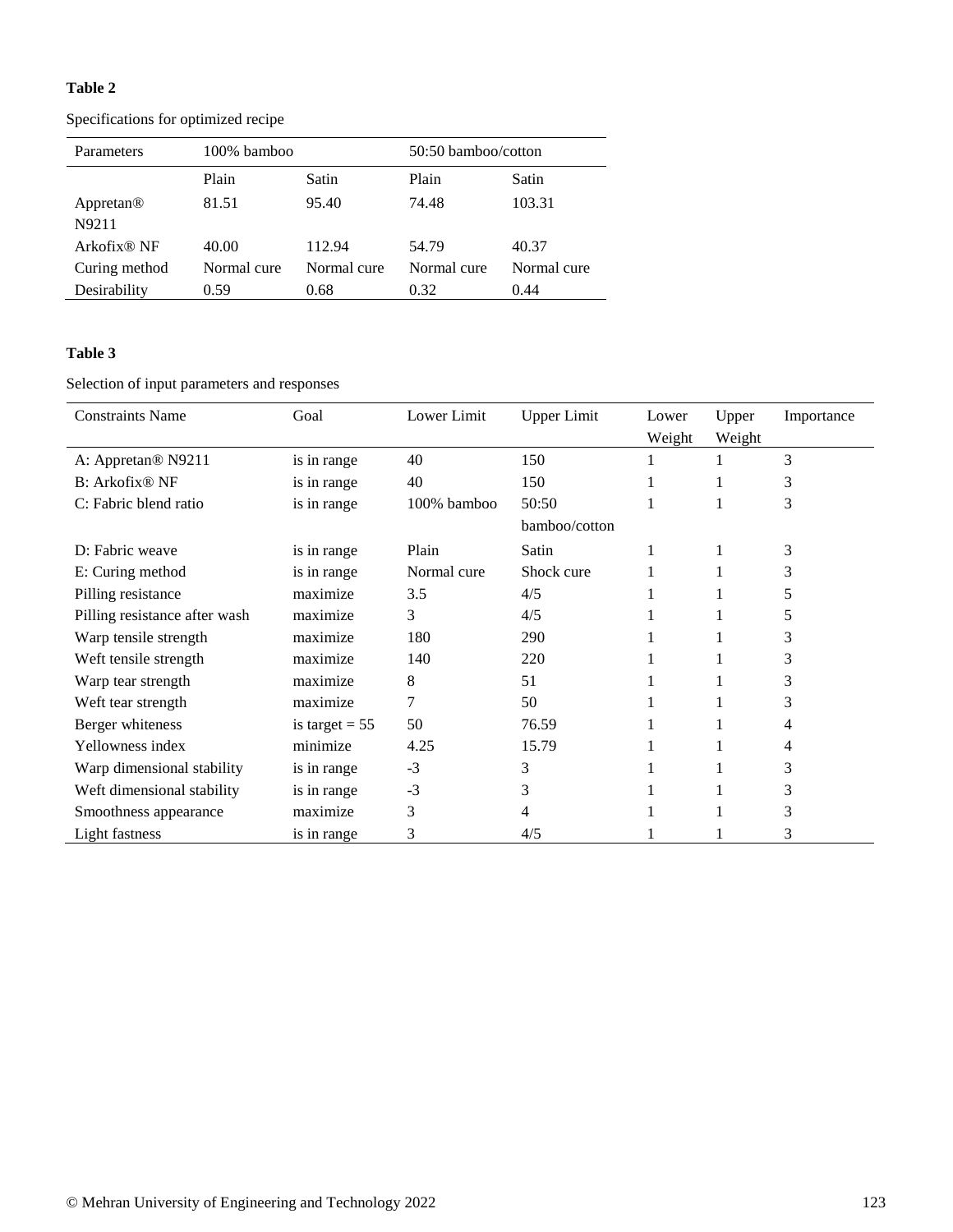## **Table 2**

Specifications for optimized recipe

| Parameters              | 100% bamboo |             | 50:50 bamboo/cotton |             |  |  |  |
|-------------------------|-------------|-------------|---------------------|-------------|--|--|--|
|                         | Plain       | Satin       | Plain               | Satin       |  |  |  |
| Appretan <sup>®</sup>   | 81.51       | 95.40       | 74.48               | 103.31      |  |  |  |
| N9211                   |             |             |                     |             |  |  |  |
| Arkofix <sup>®</sup> NF | 40.00       | 112.94      | 54.79               | 40.37       |  |  |  |
| Curing method           | Normal cure | Normal cure | Normal cure         | Normal cure |  |  |  |
| Desirability            | 0.59        | 0.68        | 0.32                | 0.44        |  |  |  |

# **Table 3**

Selection of input parameters and responses

| <b>Constraints Name</b>        | Goal             | Lower Limit | <b>Upper Limit</b> | Lower<br>Weight | Upper<br>Weight | Importance |  |
|--------------------------------|------------------|-------------|--------------------|-----------------|-----------------|------------|--|
| A: Appretan <sup>®</sup> N9211 | is in range      | 40          | 150                |                 | 1               | 3          |  |
| B: Arkofix <sup>®</sup> NF     | is in range      | 40          | 150                |                 |                 | 3          |  |
| C: Fabric blend ratio          | is in range      | 100% bamboo | 50:50              |                 |                 | 3          |  |
|                                |                  |             | bamboo/cotton      |                 |                 |            |  |
| D: Fabric weave                | is in range      | Plain       | Satin              |                 |                 | 3          |  |
| E: Curing method               | is in range      | Normal cure | Shock cure         |                 |                 | 3          |  |
| Pilling resistance             | maximize         | 3.5         | 4/5                |                 |                 | 5          |  |
| Pilling resistance after wash  | maximize         | 3           | 4/5                |                 |                 | 5          |  |
| Warp tensile strength          | maximize         | 180         | 290                |                 |                 | 3          |  |
| Weft tensile strength          | maximize         | 140         | 220                |                 |                 | 3          |  |
| Warp tear strength             | maximize         | 8           | 51                 |                 |                 | 3          |  |
| Weft tear strength             | maximize         | 7           | 50                 |                 |                 | 3          |  |
| Berger whiteness               | is target $= 55$ | 50          | 76.59              |                 |                 | 4          |  |
| Yellowness index               | minimize         | 4.25        | 15.79              |                 |                 | 4          |  |
| Warp dimensional stability     | is in range      | $-3$        | 3                  |                 |                 | 3          |  |
| Weft dimensional stability     | is in range      | $-3$        | 3                  |                 |                 | 3          |  |
| Smoothness appearance          | maximize         | 3           | 4                  |                 |                 | 3          |  |
| <b>Light fastness</b>          | is in range      | 3           | 4/5                |                 |                 | 3          |  |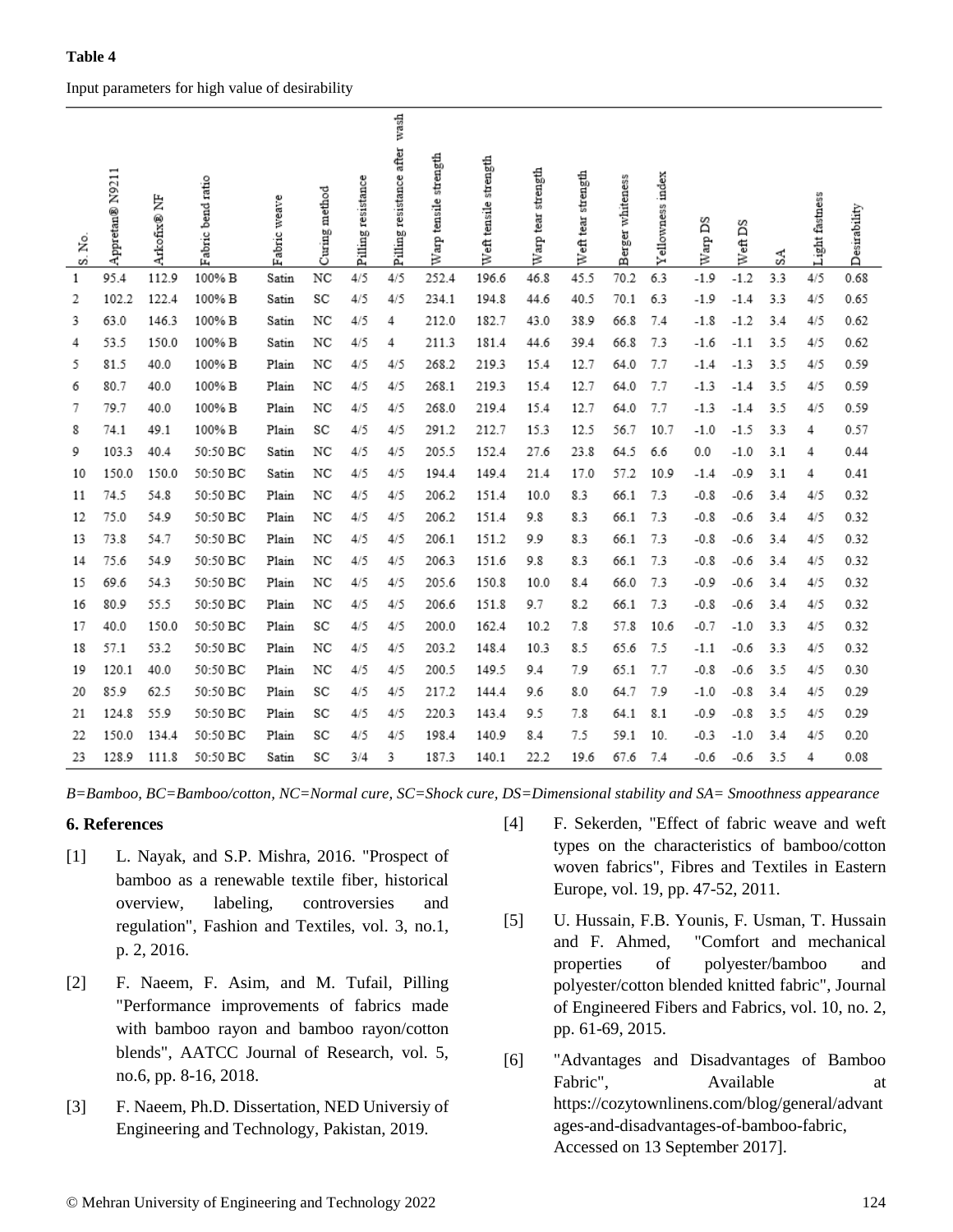## Input parameters for high value of desirability

| S. No. | Appretan® N9211 | ₿<br>Arkofix® | Fabric bend ratio | Fabric weave | Curing method | resistance<br>Pilling <sub>1</sub> | wash<br>Pilling resistance after | Warp tensile strength | Weft tensile strength | strength<br>tear<br>Warp ! | Weft tear strength | whiteness<br>erger<br>囟 | index<br>Yellowness | βã<br>Warp | ã<br>Weft. | SA  | Light fastness | Desirability |
|--------|-----------------|---------------|-------------------|--------------|---------------|------------------------------------|----------------------------------|-----------------------|-----------------------|----------------------------|--------------------|-------------------------|---------------------|------------|------------|-----|----------------|--------------|
| 1      | 95.4            | 112.9         | 100% B            | Satin        | NC            | 4/5                                | 4/5                              | 252.4                 | 196.6                 | 46.8                       | 45.5               | 70.2                    | 6.3                 | $-1.9$     | $-1.2$     | 3.3 | 4/5            | 0.68         |
| 2      | 102.2           | 122.4         | 100% B            | Satin        | SC            | 4/5                                | 4/5                              | 234.1                 | 194.8                 | 44.6                       | 40.5               | 70.1                    | 6.3                 | $-1.9$     | $-1.4$     | 3.3 | 4/5            | 0.65         |
| 3      | 63.0            | 146.3         | 100% B            | Satin        | NC            | 4/5                                | 4                                | 212.0                 | 182.7                 | 43.0                       | 38.9               | 66.8                    | 7.4                 | $-1.8$     | $-1.2$     | 3.4 | 4/5            | 0.62         |
| 4      | 53.5            | 150.0         | 100% B            | Satin        | NC            | 4/5                                | 4                                | 211.3                 | 181.4                 | 44.6                       | 39.4               | 66.8                    | 7.3                 | $-1.6$     | $-1.1$     | 3.5 | 4/5            | 0.62         |
| 5      | 81.5            | 40.0          | 100% B            | Plain        | NC            | 4/5                                | 4/5                              | 268.2                 | 219.3                 | 15.4                       | 12.7               | 64.0                    | 7.7                 | $-1.4$     | $-1.3$     | 3.5 | 4/5            | 0.59         |
| 6      | 80.7            | 40.0          | 100% B            | Plain        | NC            | 4/5                                | 4/5                              | 268.1                 | 219.3                 | 15.4                       | 12.7               | 64.0                    | 7.7                 | $-1.3$     | $-1.4$     | 3.5 | 4/5            | 0.59         |
| 7      | 79.7            | 40.0          | 100% B            | Plain        | NC            | 4/5                                | 4/5                              | 268.0                 | 219.4                 | 15.4                       | 12.7               | 64.0                    | 7.7                 | $-1.3$     | $-1.4$     | 3.5 | 4/5            | 0.59         |
| 8      | 74.1            | 49.1          | 100% B            | Plain        | SC            | 4/5                                | 4/5                              | 291.2                 | 212.7                 | 15.3                       | 12.5               | 56.7                    | 10.7                | $-1.0$     | $-1.5$     | 3.3 | 4              | 0.57         |
| 9      | 103.3           | 40.4          | 50:50 BC          | Satin        | NC            | 4/5                                | 4/5                              | 205.5                 | 152.4                 | 27.6                       | 23.8               | 64.5                    | 6.6                 | 0.0        | $-1.0$     | 3.1 | 4              | 0.44         |
| 10     | 150.0           | 150.0         | 50:50 BC          | Satin        | NC            | 4/5                                | 4/5                              | 194.4                 | 149.4                 | 21.4                       | 17.0               | 57.2                    | 10.9                | $-1.4$     | $-0.9$     | 3.1 | 4              | 0.41         |
| 11     | 74.5            | 54.8          | 50:50 BC          | Plain        | NC            | 4/5                                | 4/5                              | 206.2                 | 151.4                 | 10.0                       | 8.3                | 66.1                    | 7.3                 | $-0.8$     | $-0.6$     | 3.4 | 4/5            | 0.32         |
| 12     | 75.0            | 54.9          | 50:50 BC          | Plain        | NC            | 4/5                                | 4/5                              | 206.2                 | 151.4                 | 9.8                        | 8.3                | 66.1                    | 7.3                 | $-0.8$     | $-0.6$     | 3.4 | 4/5            | 0.32         |
| 13     | 73.8            | 54.7          | 50:50 BC          | Plain        | NC            | 4/5                                | 4/5                              | 206.1                 | 151.2                 | 9.9                        | 8.3                | 66.1                    | 7.3                 | $-0.8$     | $-0.6$     | 3.4 | 4/5            | 0.32         |
| 14     | 75.6            | 54.9          | 50:50 BC          | Plain        | NC            | 4/5                                | 4/5                              | 206.3                 | 151.6                 | 9.8                        | 8.3                | 66.1                    | 7.3                 | $-0.8$     | $-0.6$     | 3.4 | 4/5            | 0.32         |
| 15     | 69.6            | 54.3          | 50:50 BC          | Plain        | NC            | 4/5                                | 4/5                              | 205.6                 | 150.8                 | 10.0                       | 8.4                | 66.0                    | 7.3                 | $-0.9$     | $-0.6$     | 3.4 | 4/5            | 0.32         |
| 16     | 80.9            | 55.5          | 50:50 BC          | Plain        | NC            | 4/5                                | 4/5                              | 206.6                 | 151.8                 | 9.7                        | 8.2                | 66.1                    | 7.3                 | $-0.8$     | $-0.6$     | 3.4 | 4/5            | 0.32         |
| 17     | 40.0            | 150.0         | 50:50 BC          | Plain        | SC            | 4/5                                | 4/5                              | 200.0                 | 162.4                 | 10.2                       | 7.8                | 57.8                    | 10.6                | $-0.7$     | $-1.0$     | 3.3 | 4/5            | 0.32         |
| 18     | 57.1            | 53.2          | 50:50 BC          | Plain        | NC            | 4/5                                | 4/5                              | 203.2                 | 148.4                 | 10.3                       | 8.5                | 65.6                    | 7.5                 | $-1.1$     | $-0.6$     | 3.3 | 4/5            | 0.32         |
| 19     | 120.1           | 40.0          | 50:50 BC          | Plain        | NC            | 4/5                                | 4/5                              | 200.5                 | 149.5                 | 9.4                        | 7.9                | 65.1                    | 7.7                 | $-0.8$     | $-0.6$     | 3.5 | 4/5            | 0.30         |
| 20     | 85.9            | 62.5          | 50:50 BC          | Plain        | SC            | 4/5                                | 4/5                              | 217.2                 | 144.4                 | 9.6                        | 8.0                | 64.7                    | 7.9                 | $-1.0$     | $-0.8$     | 3.4 | 4/5            | 0.29         |
| 21     | 124.8           | 55.9          | 50:50 BC          | Plain        | SC            | 4/5                                | 4/5                              | 220.3                 | 143.4                 | 9.5                        | 7.8                | 64.1                    | 8.1                 | $-0.9$     | $-0.8$     | 3.5 | 4/5            | 0.29         |
| 22     | 150.0           | 134.4         | 50:50 BC          | Plain        | SC            | 4/5                                | 4/5                              | 198.4                 | 140.9                 | 8.4                        | 7.5                | 59.1                    | 10.                 | $-0.3$     | $-1.0$     | 3.4 | 4/5            | 0.20         |
| 23     | 128.9           | 111.8         | 50:50 BC          | Satin        | SC            | 3/4                                | 3                                | 187.3                 | 140.1                 | 22.2                       | 19.6               | 67.6                    | 7.4                 | -0.6       | $-0.6$     | 3.5 | 4              | 0.08         |

*B=Bamboo, BC=Bamboo/cotton, NC=Normal cure, SC=Shock cure, DS=Dimensional stability and SA= Smoothness appearance* 

#### **6. References**

- [1] L. Nayak, and S.P. Mishra, 2016. "Prospect of bamboo as a renewable textile fiber, historical overview, labeling, controversies and regulation", Fashion and Textiles, vol. 3, no.1, p. 2, 2016.
- [2] F. Naeem, F. Asim, and M. Tufail, Pilling "Performance improvements of fabrics made with bamboo rayon and bamboo rayon/cotton blends", AATCC Journal of Research, vol. 5, no.6, pp. 8-16, 2018.
- [3] F. Naeem, Ph.D. Dissertation, NED Universiy of Engineering and Technology, Pakistan, 2019.
- [4] F. Sekerden, "Effect of fabric weave and weft types on the characteristics of bamboo/cotton woven fabrics", Fibres and Textiles in Eastern Europe, vol. 19, pp. 47-52, 2011.
- [5] U. Hussain, F.B. Younis, F. Usman, T. Hussain and F. Ahmed, "Comfort and mechanical properties of polyester/bamboo and polyester/cotton blended knitted fabric", Journal of Engineered Fibers and Fabrics, vol. 10, no. 2, pp. 61-69, 2015.
- [6] "Advantages and Disadvantages of Bamboo Fabric", Available at https://cozytownlinens.com/blog/general/advant ages-and-disadvantages-of-bamboo-fabric, Accessed on 13 September 2017].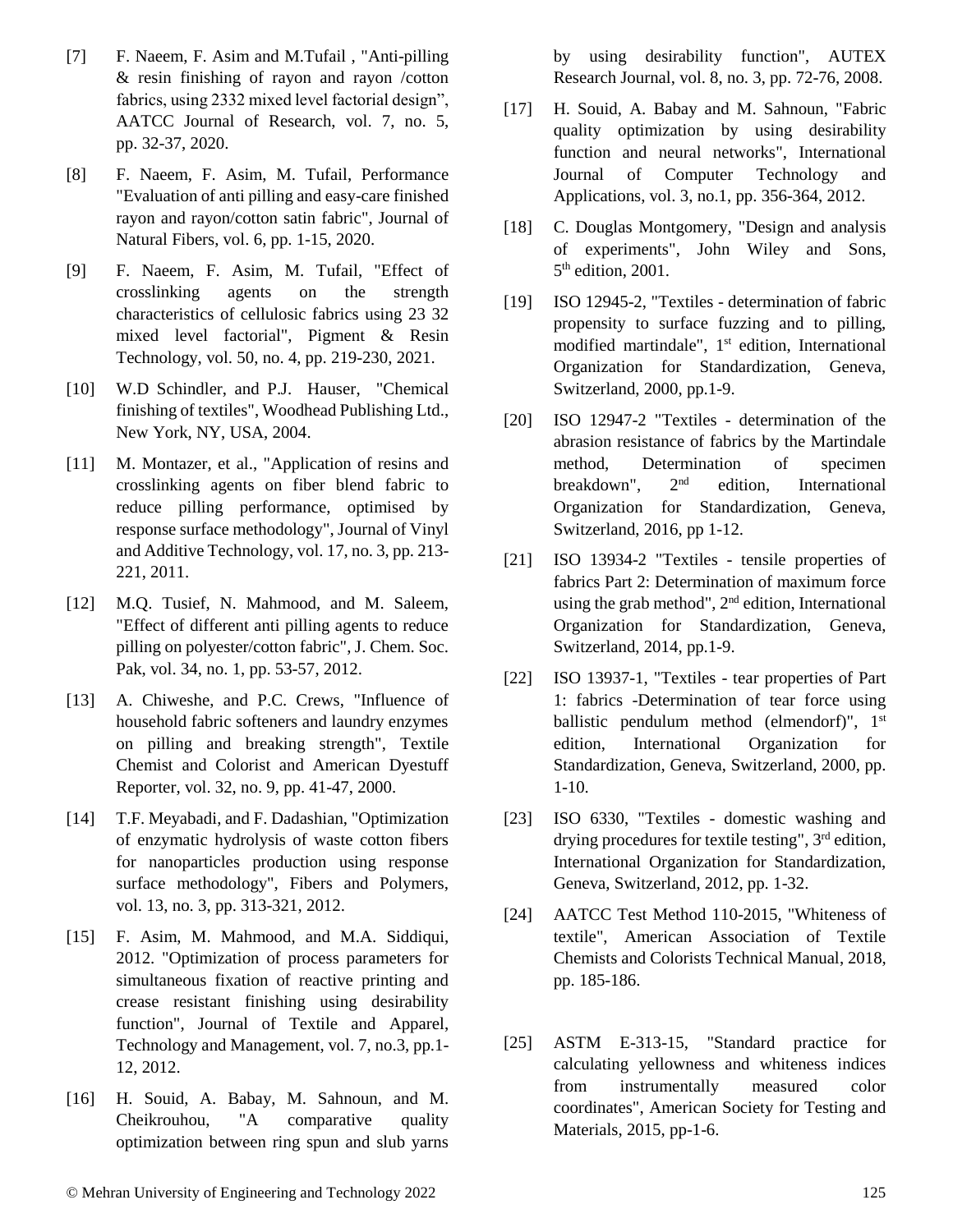- [7] F. Naeem, F. Asim and M.Tufail , "Anti-pilling & resin finishing of rayon and rayon /cotton fabrics, using 2332 mixed level factorial design", AATCC Journal of Research, vol. 7, no. 5, pp. 32-37, 2020.
- [8] F. Naeem, F. Asim, M. Tufail, Performance "Evaluation of anti pilling and easy-care finished rayon and rayon/cotton satin fabric", Journal of Natural Fibers, vol. 6, pp. 1-15, 2020.
- [9] F. Naeem, F. Asim, M. Tufail, "Effect of crosslinking agents on the strength characteristics of cellulosic fabrics using 23 32 mixed level factorial", Pigment & Resin Technology, vol. 50, no. 4, pp. 219-230, 2021.
- [10] W.D Schindler, and P.J. Hauser, "Chemical finishing of textiles", Woodhead Publishing Ltd., New York, NY, USA, 2004.
- [11] M. Montazer, et al., "Application of resins and crosslinking agents on fiber blend fabric to reduce pilling performance, optimised by response surface methodology", Journal of Vinyl and Additive Technology, vol. 17, no. 3, pp. 213- 221, 2011.
- [12] M.Q. Tusief, N. Mahmood, and M. Saleem, "Effect of different anti pilling agents to reduce pilling on polyester/cotton fabric", J. Chem. Soc. Pak, vol. 34, no. 1, pp. 53-57, 2012.
- [13] A. Chiweshe, and P.C. Crews, "Influence of household fabric softeners and laundry enzymes on pilling and breaking strength", Textile Chemist and Colorist and American Dyestuff Reporter, vol. 32, no. 9, pp. 41-47, 2000.
- [14] T.F. Meyabadi, and F. Dadashian, "Optimization of enzymatic hydrolysis of waste cotton fibers for nanoparticles production using response surface methodology", Fibers and Polymers, vol. 13, no. 3, pp. 313-321, 2012.
- [15] F. Asim, M. Mahmood, and M.A. Siddiqui, 2012. "Optimization of process parameters for simultaneous fixation of reactive printing and crease resistant finishing using desirability function", Journal of Textile and Apparel, Technology and Management, vol. 7, no.3, pp.1- 12, 2012.
- [16] H. Souid, A. Babay, M. Sahnoun, and M. Cheikrouhou, "A comparative quality optimization between ring spun and slub yarns

by using desirability function", AUTEX Research Journal, vol. 8, no. 3, pp. 72-76, 2008.

- [17] H. Souid, A. Babay and M. Sahnoun, "Fabric quality optimization by using desirability function and neural networks", International Journal of Computer Technology and Applications, vol. 3, no.1, pp. 356-364, 2012.
- [18] C. Douglas Montgomery, "Design and analysis of experiments", John Wiley and Sons, 5<sup>th</sup> edition, 2001.
- [19] ISO 12945-2, "Textiles determination of fabric propensity to surface fuzzing and to pilling, modified martindale", 1<sup>st</sup> edition, International Organization for Standardization, Geneva, Switzerland, 2000, pp.1-9.
- [20] ISO 12947-2 "Textiles determination of the abrasion resistance of fabrics by the Martindale method, Determination of specimen breakdown", 2nd edition, International Organization for Standardization, Geneva, Switzerland, 2016, pp 1-12.
- [21] ISO 13934-2 "Textiles tensile properties of fabrics Part 2: Determination of maximum force using the grab method",  $2<sup>nd</sup>$  edition, International Organization for Standardization, Geneva, Switzerland, 2014, pp.1-9.
- [22] ISO 13937-1, "Textiles tear properties of Part 1: fabrics -Determination of tear force using ballistic pendulum method (elmendorf)", 1<sup>st</sup> edition, International Organization for Standardization, Geneva, Switzerland, 2000, pp. 1-10.
- [23] ISO 6330, "Textiles domestic washing and drying procedures for textile testing",  $3<sup>rd</sup>$  edition, International Organization for Standardization, Geneva, Switzerland, 2012, pp. 1-32.
- [24] AATCC Test Method 110-2015, "Whiteness of textile", American Association of Textile Chemists and Colorists Technical Manual, 2018, pp. 185-186.
- [25] ASTM E-313-15, "Standard practice for calculating yellowness and whiteness indices from instrumentally measured color coordinates", American Society for Testing and Materials, 2015, pp-1-6.